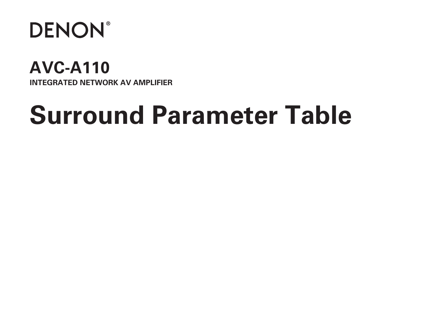

## **AVC-A110 INTEGRATED NETWORK AV AMPLIFIER**

# **Surround Parameter Table**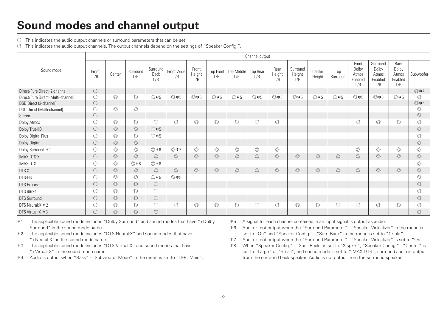#### **Sound modes and channel output**

 $\bigcirc$  This indicates the audio output channels or surround parameters that can be set.

D This indicates the audio output channels. The output channels depend on the settings of "Speaker Config.".

|                                    |                     |                |                 |                         |                   |                        |                |                               | Channel output         |                       |                           |                  |                 |                                           |                                              |                                          |                |
|------------------------------------|---------------------|----------------|-----------------|-------------------------|-------------------|------------------------|----------------|-------------------------------|------------------------|-----------------------|---------------------------|------------------|-----------------|-------------------------------------------|----------------------------------------------|------------------------------------------|----------------|
| Sound mode                         | Front<br>L/R        | Center         | Surround<br>L/R | Surround<br>Back<br>L/R | Front Wide<br>L/R | Front<br>Height<br>L/R | L/R            | Top Front   Top Middle<br>L/R | <b>Top Rear</b><br>L/R | Rear<br>Height<br>1/R | Surround<br>Height<br>L/R | Center<br>Height | Top<br>Surround | Front<br>Dolby<br>Atmos<br>Enabled<br>L/R | Surround<br>Dolby<br>Atmos<br>Enabled<br>L/R | Back<br>Dolby<br>Atmos<br>Enabled<br>L/R | Subwoofer      |
| Direct/Pure Direct (2-channel)     | $\circlearrowright$ |                |                 |                         |                   |                        |                |                               |                        |                       |                           |                  |                 |                                           |                                              |                                          | $@*4$          |
| Direct/Pure Direct (Multi-channel) | O                   | $\circledcirc$ | $\circledcirc$  | ◎ * 5                   | ◎ * 5             | $@*5$                  | $@*5$          | $@*5$                         | ◎ * 5                  | ◎ * 5                 | ◎ * 5                     | $@*5$            | $@*5$           | $@*5$                                     | ◎ * 5                                        | ◎ * 5                                    | ∩              |
| DSD Direct (2-channel)             | $\circ$             |                |                 |                         |                   |                        |                |                               |                        |                       |                           |                  |                 |                                           |                                              |                                          | $@*4$          |
| DSD Direct (Multi-channel)         | O                   | $\circledcirc$ | $\circledcirc$  |                         |                   |                        |                |                               |                        |                       |                           |                  |                 |                                           |                                              |                                          | $\circledcirc$ |
| Stereo                             | $\circ$             |                |                 |                         |                   |                        |                |                               |                        |                       |                           |                  |                 |                                           |                                              |                                          | $\circledcirc$ |
| Dolby Atmos                        | $\bigcirc$          | $\circledcirc$ | $\circledcirc$  | $\circledcirc$          | $\circledcirc$    | $\circledcirc$         | $\circledcirc$ | $\circledcirc$                | $\circledcirc$         | $\circledcirc$        |                           |                  |                 | $\circledcirc$                            | $\circledcirc$                               | $\circledcirc$                           | $\circledcirc$ |
| Dolby TrueHD                       | $\circ$             | $\circledcirc$ | $\circledcirc$  | $@*5$                   |                   |                        |                |                               |                        |                       |                           |                  |                 |                                           |                                              |                                          | $\circledcirc$ |
| Dolby Digital Plus                 | O                   | $\circledcirc$ | $\circledcirc$  | ◎ * 5                   |                   |                        |                |                               |                        |                       |                           |                  |                 |                                           |                                              |                                          | $\circledcirc$ |
| Dolby Digital                      | $\circ$             | $\circledcirc$ | $\circledcirc$  |                         |                   |                        |                |                               |                        |                       |                           |                  |                 |                                           |                                              |                                          | $\odot$        |
| Dolby Surround *1                  | O                   | $\circledcirc$ | $\circledcirc$  | ◎ * 6                   | ◎ * 7             | $\circledcirc$         | $\circledcirc$ | $\circledcirc$                | $\circledcirc$         | $\circledcirc$        |                           |                  |                 | $\circledcirc$                            | $\circledcirc$                               | Ō                                        |                |
| <b>IMAX DTS:X</b>                  | 0                   | $\circledcirc$ | $\circledcirc$  | $\circledcirc$          | $\circledcirc$    | $\circledcirc$         | $\circledcirc$ | $\circledcirc$                | $\circledcirc$         | $\circledcirc$        | $\circledcirc$            | $\circledcirc$   | $\circledcirc$  | $\circledcirc$                            | $\circledcirc$                               | $\circledcirc$                           | $\circledcirc$ |
| IMAX DTS                           | $\circ$             | $\circledcirc$ | ◎ *8            | $0*8$                   |                   |                        |                |                               |                        |                       |                           |                  |                 |                                           |                                              |                                          | $\odot$        |
| DTS:X                              | $\circ$             | $\circledcirc$ | $\circledcirc$  | $\circledcirc$          | $\circ$           | $\circledcirc$         | $\circledcirc$ | $\circledcirc$                | $\circledcirc$         | $\circledcirc$        | $\circledcirc$            | $\circledcirc$   | $\circledcirc$  | $\circledcirc$                            | $\circledcirc$                               | $\circledcirc$                           | $\circledcirc$ |
| DTS-HD                             | O                   | $\circledcirc$ | $\circledcirc$  | ◎*5                     | ◎ * 5             |                        |                |                               |                        |                       |                           |                  |                 |                                           |                                              |                                          | $\circledcirc$ |
| <b>DTS</b> Express                 | $\circlearrowright$ | $\circledcirc$ | $\circledcirc$  | $\circledcirc$          |                   |                        |                |                               |                        |                       |                           |                  |                 |                                           |                                              |                                          | $\circledcirc$ |
| DTS 96/24                          | O                   | $\circledcirc$ | $\circledcirc$  | $\circledcirc$          |                   |                        |                |                               |                        |                       |                           |                  |                 |                                           |                                              |                                          |                |
| <b>DTS Surround</b>                | $\bigcirc$          | $\circledcirc$ | $\circledcirc$  | $\circledcirc$          |                   |                        |                |                               |                        |                       |                           |                  |                 |                                           |                                              |                                          | $\odot$        |
| DTS Neural: X *2                   | $\circ$             | $\circledcirc$ | $\circledcirc$  | $\circledcirc$          | $\circledcirc$    | $\circledcirc$         | $\circledcirc$ | $\circledcirc$                | $\circledcirc$         | $\circledcirc$        | $\circledcirc$            | $\circledcirc$   | $\circledcirc$  | $\circledcirc$                            | $\circledcirc$                               | $\circledcirc$                           | $\circledcirc$ |
| DTS Virtual:X *3                   | $\bigcirc$          | $\circledcirc$ | $\circledcirc$  | $\circledcirc$          |                   |                        |                |                               |                        |                       |                           |                  |                 |                                           |                                              |                                          | $\circledcirc$ |

\*1 The applicable sound mode includes "Dolby Surround" and sound modes that have "+Dolby Surround" in the sound mode name.

\*2 The applicable sound mode includes "DTS Neural:X" and sound modes that have "+Neural:X" in the sound mode name.

\*3 The applicable sound mode includes "DTS Virtual:X" and sound modes that have "+Virtual:X" in the sound mode name.

z4 Audio is output when "Bass" - "Subwoofer Mode" in the menu is set to "LFE+Main".

\*5 A signal for each channel contained in an input signal is output as audio.

z6 Audio is not output when the "Surround Parameter" - "Speaker Virtualizer" in the menu is set to "On" and "Speaker Config." - "Surr. Back" in the menu is set to "1 spkr".

- z7 Audio is not output when the "Surround Parameter" "Speaker Virtualizer" is set to "On".
- z8 When "Speaker Config." "Surr. Back" is set to "2 spkrs", "Speaker Config." "Center" is set to "Large" or "Small", and sound mode is set to "IMAX DTS", surround audio is output from the surround back speaker. Audio is not output from the surround speaker.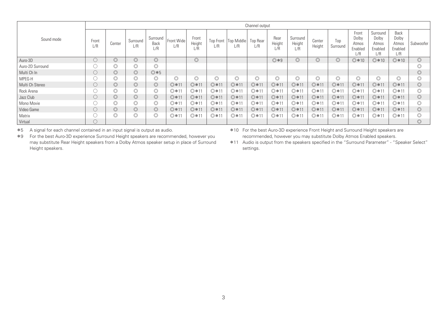|                  |              |                |                 |                         |                   |                        |                |                               | Channel output         |                       |                           |                  |                 |                                            |                                              |                                          |                |
|------------------|--------------|----------------|-----------------|-------------------------|-------------------|------------------------|----------------|-------------------------------|------------------------|-----------------------|---------------------------|------------------|-----------------|--------------------------------------------|----------------------------------------------|------------------------------------------|----------------|
| Sound mode       | Front<br>L/R | Center         | Surround<br>1/R | Surround<br>Back<br>1/R | Front Wide<br>L/R | Front<br>Height<br>1/R | L/R            | Top Front   Top Middle<br>L/R | <b>Top Rear</b><br>L/R | Rear<br>Height<br>1/R | Surround<br>Height<br>1/R | Center<br>Height | Top<br>Surround | Front<br>Dolby<br>Atmos<br>Enabled<br>l /R | Surround<br>Dolby<br>Atmos<br>Enabled<br>L/R | Back<br>Dolby<br>Atmos<br>Enabled<br>L/R | Subwoofer      |
| Auro-3D          | O            | $\circledcirc$ | $\circledcirc$  | $\circledcirc$          |                   | $\circledcirc$         |                |                               |                        | $@*9$                 | $\circledcirc$            | $\circledcirc$   | $\circledcirc$  | ◎ * 10                                     | $@*10$                                       | $@*10$                                   | $\circledcirc$ |
| Auro-2D Surround |              | $\circledcirc$ | O               | $\circledcirc$          |                   |                        |                |                               |                        |                       |                           |                  |                 |                                            |                                              |                                          |                |
| Multi Ch In      | U            | $\circledcirc$ | $\circledcirc$  | $@*5$                   |                   |                        |                |                               |                        |                       |                           |                  |                 |                                            |                                              |                                          | $\circledcirc$ |
| MPEG-H           |              | $\circledcirc$ | Ō               | $\circledcirc$          | $\circledcirc$    | $\circledcirc$         | $\circledcirc$ | $\circledcirc$                | $\circledcirc$         | $\circledcirc$        | $\circledcirc$            | $\circledcirc$   | $\circledcirc$  | $\circledcirc$                             | $\circledcirc$                               | $\circledcirc$                           | É              |
| Multi Ch Stereo  | O            | $\circledcirc$ | $\circledcirc$  | $\circledcirc$          | ◎ * 11            | ◎ * 11                 | ◎ * 11         | ◎ * 11                        | ◎ * 11                 | ◎ * 11                | ◎ * 11                    | ◎ *11            | ◎ * 11          | ◎ *11                                      | ◎ *11                                        | ◎ * 11                                   | $\circledcirc$ |
| Rock Arena       |              | $\circledcirc$ | $\circledcirc$  | $\circledcirc$          | ◎ *1              | ◎*11                   | ◎*11           | ◎ *11                         | ◎*11                   | ◎*11                  | ◎ *11                     | ◎*11             | ◎*11            | ◎ *11                                      | ◎*11                                         | ◎*11                                     |                |
| Jazz Club        | O            | $\circledcirc$ | $\circledcirc$  | $\circledcirc$          | ◎ * 11            | ◎*11                   | ◎ *11          | ◎ * 11                        | ◎*11                   | ◎ * 11                | ◎ * 11                    | ◎ * 11           | ◎ * 11          | ◎ *11                                      | ◎*11                                         | ◎*11                                     | $\circledcirc$ |
| Mono Movie       |              | $\circledcirc$ | $\circledcirc$  | $\circledcirc$          | $@*1"$            | ◎*11                   | ◎ *11          | ◎ *11                         | ◎*11                   | ◎ * 11                | ◎ * 11                    | ◎ *11            | ◎*11            | ◎ *11                                      | ◎*11                                         | ◎*11                                     |                |
| Video Game       | U            | $\circledcirc$ | $\circledcirc$  | $\circledcirc$          | ◎ *11             | ◎*11                   | ◎ *11          | ◎ * 11                        | ◎*11                   | ◎ * 11                | ◎ * 11                    | ◎ * 11           | ◎ * 11          | ◎ *11                                      | ◎ *11                                        | ◎*11                                     | $\circledcirc$ |
| Matrix           |              |                | $\circledcirc$  | $\circledcirc$          | $@*1$             | ◎*11                   | ◎ * 11         | ◎*11                          | ◎*11                   | ◎ * 11                | ◎ *11                     | ◎*11             | ◎*11            | ◎ *11                                      | ◎ *11                                        | ◎*11                                     |                |
| Virtual          |              |                |                 |                         |                   |                        |                |                               |                        |                       |                           |                  |                 |                                            |                                              |                                          | $\circledcirc$ |

z5 A signal for each channel contained in an input signal is output as audio. z9 For the best Auro-3D experience Surround Height speakers are recommended, however you may substitute Rear Height speakers from a Dolby Atmos speaker setup in place of Surround Height speakers.

z10 For the best Auro-3D experience Front Height and Surround Height speakers are recommended, however you may substitute Dolby Atmos Enabled speakers.

z11 Audio is output from the speakers specified in the "Surround Parameter" - "Speaker Select" settings.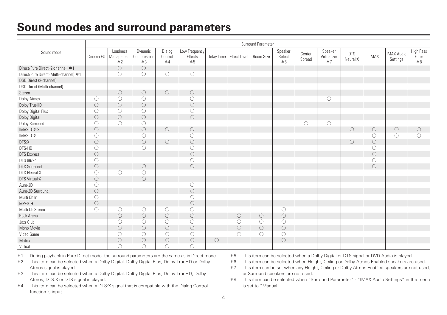#### **Sound modes and surround parameters**

|                                       |                     |                                            |                 |                           |                                  |                     |                     | Surround Parameter  |                           |                     |                                |                        |                     |                               |                             |
|---------------------------------------|---------------------|--------------------------------------------|-----------------|---------------------------|----------------------------------|---------------------|---------------------|---------------------|---------------------------|---------------------|--------------------------------|------------------------|---------------------|-------------------------------|-----------------------------|
| Sound mode                            | Cinema EQ           | Loudness<br>Management Compression<br>$*2$ | Dynamic<br>$*3$ | Dialog<br>Control<br>$*4$ | Low Frequency<br>Effects<br>$*5$ | Delay Time          | <b>Effect Level</b> | Room Size           | Speaker<br>Select<br>$*6$ | Center<br>Spread    | Speaker<br>Virtualizer<br>$*7$ | <b>DTS</b><br>Neural:X | <b>IMAX</b>         | <b>IMAX Audio</b><br>Settings | High Pass<br>Filter<br>$*8$ |
| Direct/Pure Direct (2-channel) *1     |                     | $\circ$                                    | $\bigcirc$      |                           |                                  |                     |                     |                     |                           |                     |                                |                        |                     |                               |                             |
| Direct/Pure Direct (Multi-channel) *1 |                     | $\circ$                                    | 0               | O                         | $\circ$                          |                     |                     |                     |                           |                     |                                |                        |                     |                               |                             |
| DSD Direct (2-channel)                |                     |                                            |                 |                           |                                  |                     |                     |                     |                           |                     |                                |                        |                     |                               |                             |
| DSD Direct (Multi-channel)            |                     |                                            |                 |                           |                                  |                     |                     |                     |                           |                     |                                |                        |                     |                               |                             |
| Stereo                                |                     | $\bigcirc$                                 | $\circ$         | $\circ$                   | $\circ$                          |                     |                     |                     |                           |                     |                                |                        |                     |                               |                             |
| Dolby Atmos                           | $\circ$             | $\circ$                                    | $\bigcirc$      |                           | $\circ$                          |                     |                     |                     |                           |                     | $\bigcirc$                     |                        |                     |                               |                             |
| Dolby TrueHD                          | $\bigcirc$          | $\bigcirc$                                 | $\circ$         |                           | $\circ$                          |                     |                     |                     |                           |                     |                                |                        |                     |                               |                             |
| Dolby Digital Plus                    | $\circ$             | $\circ$                                    | $\bigcirc$      |                           | $\circ$                          |                     |                     |                     |                           |                     |                                |                        |                     |                               |                             |
| Dolby Digital                         | $\bigcirc$          | $\circ$                                    | $\circ$         |                           | $\circ$                          |                     |                     |                     |                           |                     |                                |                        |                     |                               |                             |
| Dolby Surround                        | $\circ$             | $\circ$                                    | 0               |                           |                                  |                     |                     |                     |                           | $\circlearrowright$ | $\circlearrowright$            |                        |                     |                               |                             |
| <b>IMAX DTS:X</b>                     | $\circ$             |                                            | $\circ$         | $\circ$                   | $\circ$                          |                     |                     |                     |                           |                     |                                | $\circ$                | $\circ$             | $\circ$                       | $\circ$                     |
| <b>IMAX DTS</b>                       | $\circ$             |                                            | O               |                           | $\circ$                          |                     |                     |                     |                           |                     |                                |                        | O                   | $\circ$                       | 0                           |
| DTS:X                                 | $\bigcirc$          |                                            | $\circ$         | $\circ$                   | $\bigcirc$                       |                     |                     |                     |                           |                     |                                | $\circ$                | $\bigcirc$          |                               |                             |
| DTS-HD                                | $\circ$             |                                            | $\bigcirc$      |                           | $\circ$                          |                     |                     |                     |                           |                     |                                |                        | $\circlearrowright$ |                               |                             |
| <b>DTS</b> Express                    | $\bigcirc$          |                                            |                 |                           | $\bigcirc$                       |                     |                     |                     |                           |                     |                                |                        | $\bigcirc$          |                               |                             |
| DTS 96/24                             | $\circ$             |                                            |                 |                           | $\circ$                          |                     |                     |                     |                           |                     |                                |                        | O                   |                               |                             |
| <b>DTS Surround</b>                   | $\bigcirc$          |                                            | $\bigcirc$      |                           | $\circ$                          |                     |                     |                     |                           |                     |                                |                        | $\bigcirc$          |                               |                             |
| DTS Neural:X                          | $\circlearrowright$ | $\circ$                                    | $\bigcirc$      |                           |                                  |                     |                     |                     |                           |                     |                                |                        |                     |                               |                             |
| DTS Virtual:X                         | $\bigcirc$          |                                            | $\bigcirc$      |                           |                                  |                     |                     |                     |                           |                     |                                |                        |                     |                               |                             |
| Auro-3D                               | $\circ$             |                                            |                 |                           | $\circ$                          |                     |                     |                     |                           |                     |                                |                        |                     |                               |                             |
| Auro-2D Surround                      | $\bigcirc$          |                                            |                 |                           | $\circ$                          |                     |                     |                     |                           |                     |                                |                        |                     |                               |                             |
| Multi Ch In                           | $\circ$             |                                            |                 |                           | $\circ$                          |                     |                     |                     |                           |                     |                                |                        |                     |                               |                             |
| MPEG-H                                | $\circ$             |                                            |                 |                           | $\circ$                          |                     |                     |                     |                           |                     |                                |                        |                     |                               |                             |
| Multi Ch Stereo                       | $\circ$             | O                                          | O               | O                         | $\circ$                          |                     |                     |                     | О                         |                     |                                |                        |                     |                               |                             |
| Rock Arena                            |                     | $\bigcirc$                                 | $\circ$         | $\circ$                   | $\bigcirc$                       |                     | $\bigcirc$          | $\bigcirc$          | $\circ$                   |                     |                                |                        |                     |                               |                             |
| Jazz Club                             |                     | $\circ$                                    | $\bigcirc$      | О                         | $\circ$                          |                     | O                   | $\circlearrowright$ | $\circ$                   |                     |                                |                        |                     |                               |                             |
| Mono Movie                            |                     | $\circ$                                    | $\circ$         | $\circ$                   | $\circ$                          |                     | $\circ$             | $\bigcirc$          | $\circ$                   |                     |                                |                        |                     |                               |                             |
| Video Game                            |                     | $\circ$                                    | $\bigcirc$      | $\circlearrowright$       | $\circ$                          |                     | $\circ$             | $\circlearrowright$ | $\circ$                   |                     |                                |                        |                     |                               |                             |
| Matrix                                |                     | $\circ$                                    | $\bigcirc$      | $\circ$                   | $\bigcirc$                       | $\circlearrowright$ |                     |                     | $\circ$                   |                     |                                |                        |                     |                               |                             |
| Virtual                               |                     | O                                          | 0               | Ω                         | O                                |                     |                     |                     |                           |                     |                                |                        |                     |                               |                             |

\*1 During playback in Pure Direct mode, the surround parameters are the same as in Direct mode.

\*2 This item can be selected when a Dolby Digital, Dolby Digital Plus, Dolby TrueHD or Dolby Atmos signal is played.

- z3 This item can be selected when a Dolby Digital, Dolby Digital Plus, Dolby TrueHD, Dolby Atmos, DTS:X or DTS signal is played.
- z4 This item can be selected when a DTS:X signal that is compatible with the Dialog Control function is input.
- z5 This item can be selected when a Dolby Digital or DTS signal or DVD-Audio is played.
- z6 This item can be selected when Height, Ceiling or Dolby Atmos Enabled speakers are used.
- \*7 This item can be set when any Height, Ceiling or Dolby Atmos Enabled speakers are not used, or Surround speakers are not used.

z8 This item can be selected when "Surround Parameter" - "IMAX Audio Settings" in the menu is set to "Manual".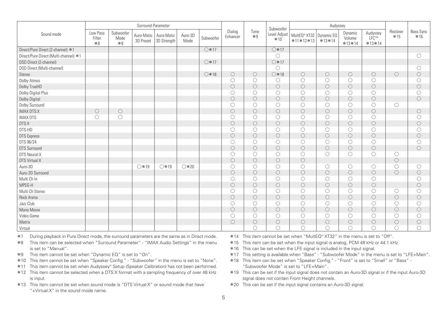|                                       |                            |                           | Surround Parameter      |                           |                 |                |                     |                     | Subwoofer             |                             | Audyssey               |                               |                               |                     |                           |
|---------------------------------------|----------------------------|---------------------------|-------------------------|---------------------------|-----------------|----------------|---------------------|---------------------|-----------------------|-----------------------------|------------------------|-------------------------------|-------------------------------|---------------------|---------------------------|
| Sound mode                            | Low Pass<br>Filter<br>$*8$ | Subwoofer<br>Mode<br>$*8$ | Auro-Matic<br>3D Preset | Auro-Matic<br>3D Strength | Auro-3D<br>Mode | Subwoofer      | Dialog<br>Enhancer  | Tone<br>$*9$        | Level Adjust<br>$*10$ | MultEQ® XT32<br>$*11*12*13$ | Dynamic EQ<br>$*13*14$ | Dynamic<br>Volume<br>$*13*14$ | Audyssey<br>I FC™<br>$*13*14$ | Restorer<br>$*15$   | <b>Bass Sync</b><br>$*16$ |
| Direct/Pure Direct (2-channel) *1     |                            |                           |                         |                           |                 | $\bigcirc$ *17 |                     |                     | $\bigcirc$ *17        |                             |                        |                               |                               |                     |                           |
| Direct/Pure Direct (Multi-channel) *1 |                            |                           |                         |                           |                 |                |                     |                     | O                     |                             |                        |                               |                               |                     | O                         |
| DSD Direct (2-channel)                |                            |                           |                         |                           |                 | $\bigcirc$ *17 |                     |                     | ○ * 17                |                             |                        |                               |                               |                     |                           |
| DSD Direct (Multi-channel)            |                            |                           |                         |                           |                 |                |                     |                     | $\bigcirc$            |                             |                        |                               |                               |                     | О                         |
| Stereo                                |                            |                           |                         |                           |                 | $O*18$         | О                   | 0                   | $O*18$                | $\circ$                     | $\circlearrowright$    | $\circlearrowright$           | $\circlearrowright$           | $\circlearrowright$ | $\circlearrowright$       |
| Dolby Atmos                           |                            |                           |                         |                           |                 |                | O                   | 0                   | 0                     | $\circ$                     | $\circlearrowright$    | $\circ$                       | $\bigcirc$                    |                     | O                         |
| Dolby TrueHD                          |                            |                           |                         |                           |                 |                | $\circ$             | $\circ$             | $\bigcirc$            | $\circ$                     | $\bigcirc$             | $\circ$                       | $\circ$                       |                     | $\bigcirc$                |
| Dolby Digital Plus                    |                            |                           |                         |                           |                 |                | O                   | 0                   | O                     | O                           | О                      | $\circ$                       | $\circlearrowright$           |                     | O                         |
| <b>Dolby Digital</b>                  |                            |                           |                         |                           |                 |                | $\circ$             | $\circ$             | $\circ$               | $\circ$                     | $\bigcirc$             | $\circ$                       | $\circ$                       |                     | $\circ$                   |
| Dolby Surround                        |                            |                           |                         |                           |                 |                | O                   | 0                   | $\bigcirc$            | $\circ$                     | О                      | $\circlearrowright$           | $\circ$                       | Ω                   |                           |
| <b>IMAX DTS:X</b>                     | $\bigcirc$                 | $\circ$                   |                         |                           |                 |                | $\circ$             | $\circ$             | $\circ$               | $\circ$                     | $\bigcirc$             | $\circ$                       | $\circ$                       |                     | $\circlearrowright$       |
| <b>IMAX DTS</b>                       | O                          | O                         |                         |                           |                 |                | ∩                   | O                   | $\bigcirc$            | $\circ$                     | $\circlearrowright$    | O                             | O                             |                     | O                         |
| DTS:X                                 |                            |                           |                         |                           |                 |                | $\circlearrowright$ | $\circ$             | $\circ$               | $\circ$                     | $\circ$                | $\circ$                       | $\circ$                       |                     | $\circlearrowright$       |
| DTS-HD                                |                            |                           |                         |                           |                 |                | O                   | 0                   | $\circ$               | $\circ$                     | $\circ$                | $\circ$                       | $\circ$                       |                     | O                         |
| <b>DTS</b> Express                    |                            |                           |                         |                           |                 |                | $\circ$             | $\circ$             | $\bigcirc$            | $\circ$                     | $\bigcirc$             | $\circ$                       | $\circ$                       |                     | $\circlearrowright$       |
| DTS 96/24                             |                            |                           |                         |                           |                 |                | O                   | 0                   | $\bigcirc$            | $\circ$                     | О                      | $\circ$                       | $\circ$                       |                     | Ο                         |
| <b>DTS Surround</b>                   |                            |                           |                         |                           |                 |                | $\bigcirc$          | $\circ$             | $\circ$               | $\circ$                     | $\circ$                | $\circ$                       | $\circ$                       |                     | $\bigcirc$                |
| DTS Neural:X                          |                            |                           |                         |                           |                 |                | O                   | O                   | O                     | O                           | О                      | $\circlearrowright$           | O                             | O                   |                           |
| DTS Virtual:X                         |                            |                           |                         |                           |                 |                | $\circlearrowright$ | $\circ$             | $\circ$               | $\circ$                     |                        |                               |                               | $\circ$             |                           |
| Auro-3D                               |                            |                           | $\bigcirc$ *19          | $\bigcirc$ *19            | $\bigcirc$ *20  |                | O                   | 0                   | $\circ$               | $\circ$                     | О                      | $\circ$                       | $\circ$                       | O                   | $\circ$                   |
| Auro-2D Surround                      |                            |                           |                         |                           |                 |                | $\circlearrowright$ | $\circlearrowright$ | $\circ$               | $\circ$                     | $\bigcirc$             | $\circ$                       | $\circ$                       | $\circlearrowright$ | $\circlearrowright$       |
| Multi Ch In                           |                            |                           |                         |                           |                 |                | O                   | 0                   | $\bigcirc$            | $\circ$                     | $\circlearrowright$    | O                             | $\bigcirc$                    |                     | O                         |
| MPEG-H                                |                            |                           |                         |                           |                 |                | $\circ$             | $\circ$             | $\circ$               | $\circ$                     | $\bigcirc$             | $\circ$                       | $\circ$                       |                     | $\circ$                   |
| Multi Ch Stereo                       |                            |                           |                         |                           |                 |                | O                   | O                   | O                     | $\circ$                     | О                      | $\circ$                       | $\circlearrowright$           | O                   | Ο                         |
| Rock Arena                            |                            |                           |                         |                           |                 |                | $\circ$             | $\circ$             | $\circ$               | $\circ$                     | $\circ$                | $\circ$                       | $\circ$                       | $\circ$             | $\circ$                   |
| Jazz Club                             |                            |                           |                         |                           |                 |                | O                   | Ω                   | $\bigcirc$            | $\circ$                     | О                      | $\circ$                       | $\circlearrowright$           | 0                   | O                         |
| Mono Movie                            |                            |                           |                         |                           |                 |                | $\circ$             | $\circ$             | $\circ$               | $\circ$                     | $\circ$                | $\circ$                       | $\circ$                       | $\circlearrowright$ | $\circ$                   |
| Video Game                            |                            |                           |                         |                           |                 |                | O                   | O                   | O                     | $\circ$                     | $\circlearrowright$    | O                             | O                             | O                   | O                         |
| Matrix                                |                            |                           |                         |                           |                 |                | $\circlearrowright$ | $\circ$             | $\circlearrowright$   | $\circ$                     | $\circ$                | $\circ$                       | $\circlearrowright$           | $\circlearrowright$ | $\circlearrowright$       |
| Virtual                               |                            |                           |                         |                           |                 |                |                     | ∩                   | O                     | O                           | O                      | $\bigcirc$                    | O                             | O                   | O                         |

\*1 During playback in Pure Direct mode, the surround parameters are the same as in Direct mode.

z8 This item can be selected when "Surround Parameter" - "IMAX Audio Settings" in the menu is set to "Manual".

\*9 This item cannot be set when "Dynamic EQ" is set to "On".

- z10 This item cannot be set when "Speaker Config." "Subwoofer" in the menu is set to "None".
- \*11 This item cannot be set when Audyssey® Setup (Speaker Calibration) has not been performed.
- \*12 This item cannot be selected when a DTS:X format with a sampling frequency of over 48 kHz is input.
- \*13. This item cannot be set when sound mode is "DTS Virtual:X" or sound mode that have "+Virtual:X" in the sound mode name.
- z14 This item cannot be set when "MultEQ® XT32" in the menu is set to "Off".
- z15 This item can be set when the input signal is analog, PCM 48 kHz or 44.1 kHz.
- z16 This can be set when the LFE signal is included in the input signal.
- z17 This setting is available when "Bass" "Subwoofer Mode" in the menu is set to "LFE+Main".
- z18 This item can be set when "Speaker Config." "Front" is set to "Small" or "Bass" "Subwoofer Mode" is set to "LFE+Main".
- z19 This can be set if the input signal does not contain an Auro-3D signal or if the input Auro-3D signal does not contain Front Height channels.
- \*20 This can be set if the input signal contains an Auro-3D signal.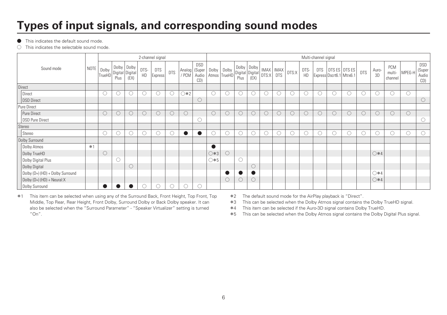### **Types of input signals, and corresponding sound modes**

**•** This indicates the default sound mode.

 $\bigcirc$  This indicates the selectable sound mode.

|                                  |      |                 |         |                                        |                     | 2-channel signal      |            |                          |                            |               |                       |                     |                         |                     |                              |         |            | Multi-channel signal |                                           |            |            |               |                          |                        |                               |
|----------------------------------|------|-----------------|---------|----------------------------------------|---------------------|-----------------------|------------|--------------------------|----------------------------|---------------|-----------------------|---------------------|-------------------------|---------------------|------------------------------|---------|------------|----------------------|-------------------------------------------|------------|------------|---------------|--------------------------|------------------------|-------------------------------|
| Sound mode                       | NOTE | Dolby<br>TrueHD | Plus    | Dolby Dolby<br>Digital Digital<br>(EX) | DTS-<br>HD          | <b>DTS</b><br>Express | <b>DTS</b> | Analog   (Super<br>/ PCM | <b>DSD</b><br>Audio<br>CD) | Dolby         | Dolby<br>Atmos TrueHD | Dolby Dolby<br>Plus | Digital Digital<br>(EX) |                     | IMAX   IMAX  <br>DTS:X   DTS | DTS:X   | DTS-<br>HD | <b>DTS</b>           | DTS ES DTS ES<br>Express Dscrt6.1 Mtrx6.1 |            | <b>DTS</b> | Auro-<br>3D   | PCM<br>multi-<br>channel | MPEG-H                 | DSD<br>(Super<br>Audio<br>CD) |
| Direct                           |      |                 |         |                                        |                     |                       |            |                          |                            |               |                       |                     |                         |                     |                              |         |            |                      |                                           |            |            |               |                          |                        |                               |
| Direct                           |      |                 | $\circ$ |                                        | O                   | O                     | O          | $\bigcirc *2$            |                            | $\bigcirc$    | O                     |                     |                         | O                   |                              |         | O          | U.                   | ⊖                                         | O          |            | U             | ∩                        | $\left( \quad \right)$ |                               |
| DSD Direct                       |      |                 |         |                                        |                     |                       |            |                          | $\circ$                    |               |                       |                     |                         |                     |                              |         |            |                      |                                           |            |            |               |                          |                        | $\circ$                       |
| Pure Direct                      |      |                 |         |                                        |                     |                       |            |                          |                            |               |                       |                     |                         |                     |                              |         |            |                      |                                           |            |            |               |                          |                        |                               |
| Pure Direct                      |      |                 | C       | $\circ$                                | $\circlearrowright$ | $\bigcirc$            | $\circ$    | $\bigcirc$               |                            | $\bigcirc$    | $\circ$               | $\bigcirc$          |                         | $\circlearrowright$ | $\circ$                      | $\circ$ | $\bigcirc$ | 0                    |                                           | 0          | $\bigcirc$ | $\bigcirc$    |                          | $\bigcirc$             |                               |
| DSD Pure Direct                  |      |                 |         |                                        |                     |                       |            |                          | O                          |               |                       |                     |                         |                     |                              |         |            |                      |                                           |            |            |               |                          |                        |                               |
| Stereo                           |      |                 |         |                                        |                     |                       |            |                          |                            |               |                       |                     |                         |                     |                              |         |            |                      |                                           |            |            |               |                          |                        |                               |
| Stereo                           |      |                 | $\circ$ |                                        | $\bigcirc$          | O                     | ∩          | $\bullet$                | $\bullet$                  | $\bigcirc$    | $\bigcirc$            | $\bigcirc$          |                         | $\bigcirc$          |                              |         | $\bigcirc$ | $\bigcirc$           |                                           | $\bigcirc$ | O          | Ō             | C                        | $\bigcirc$             |                               |
| Dolby Surround                   |      |                 |         |                                        |                     |                       |            |                          |                            |               |                       |                     |                         |                     |                              |         |            |                      |                                           |            |            |               |                          |                        |                               |
| Dolby Atmos                      | $*1$ |                 |         |                                        |                     |                       |            |                          |                            | $\bullet$     |                       |                     |                         |                     |                              |         |            |                      |                                           |            |            |               |                          |                        |                               |
| Dolby TrueHD                     |      |                 |         |                                        |                     |                       |            |                          |                            | $\bigcirc$ *3 | $\circ$               |                     |                         |                     |                              |         |            |                      |                                           |            |            | $\bigcirc$ *4 |                          |                        |                               |
| Dolby Digital Plus               |      |                 | C       |                                        |                     |                       |            |                          |                            | ○*5           |                       | $\bigcirc$          |                         |                     |                              |         |            |                      |                                           |            |            |               |                          |                        |                               |
| Dolby Digital                    |      |                 |         | $\bigcirc$                             |                     |                       |            |                          |                            |               |                       |                     |                         |                     |                              |         |            |                      |                                           |            |            |               |                          |                        |                               |
| Dolby (D+) (HD) + Dolby Surround |      |                 |         |                                        |                     |                       |            |                          |                            |               |                       |                     |                         |                     |                              |         |            |                      |                                           |            |            | $\bigcirc$ *4 |                          |                        |                               |
| $Douby (D+) (HD) + Neural:X$     |      |                 |         |                                        |                     |                       |            |                          |                            |               | $\circ$               | $\circ$             | U                       |                     |                              |         |            |                      |                                           |            |            | $\bigcirc$ *4 |                          |                        |                               |
| Dolby Surround                   |      |                 |         |                                        | O                   | O                     | $\circ$    | $\circ$                  | O                          |               |                       |                     |                         |                     |                              |         |            |                      |                                           |            |            |               |                          |                        |                               |

\*1 This item can be selected when using any of the Surround Back, Front Height, Top Front, Top Middle, Top Rear, Rear Height, Front Dolby, Surround Dolby or Back Dolby speaker. It can also be selected when the "Surround Parameter" - "Speaker Virtualizer" setting is turned "On".

\*2 The default sound mode for the AirPlay playback is "Direct".

\*3 This can be selected when the Dolby Atmos signal contains the Dolby TrueHD signal.

z4 This item can be selected if the Auro-3D signal contains Dolby TrueHD.

**\*5** This can be selected when the Dolby Atmos signal contains the Dolby Digital Plus signal.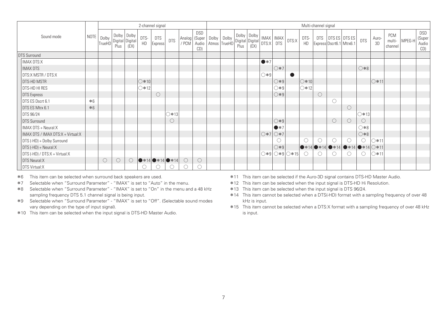|                                   |      |                          |         |                                          |                | 2-channel signal                             |            |                          |                            |             |              |      |                                                                                                                                                                                                                                                                                                                 |                             |                     |                                        |                | Multi-channel signal |                         |                                                                               |            |             |                          |        |                               |
|-----------------------------------|------|--------------------------|---------|------------------------------------------|----------------|----------------------------------------------|------------|--------------------------|----------------------------|-------------|--------------|------|-----------------------------------------------------------------------------------------------------------------------------------------------------------------------------------------------------------------------------------------------------------------------------------------------------------------|-----------------------------|---------------------|----------------------------------------|----------------|----------------------|-------------------------|-------------------------------------------------------------------------------|------------|-------------|--------------------------|--------|-------------------------------|
| Sound mode                        |      | NOTE   Dolby '<br>TrueHD | Plus    | Dolby   Dolby<br>Digital Digital<br>(EX) | DTS-<br>HD     | <b>DTS</b><br>Express                        | <b>DTS</b> | Analog   (Super<br>/ PCM | <b>DSD</b><br>Audio<br>CD) | Dolby Dolby | Atmos TrueHD | Plus | $\begin{array}{c c c} \text{Dolly} & \text{Dolly} \\ \hline \text{Digital} & \text{Digital} \\ \hline \text{Digital} & \text{DTS} \end{array} \Bigg  \begin{array}{c} \text{IMAX} \\ \text{DTS} \end{array} \Bigg  \begin{array}{c} \text{IMAX} \\ \text{DTS} \end{array} \Bigg  \\[0.5em] \end{array}$<br>(EX) |                             |                     | DTS:X                                  | DTS-<br>HD     |                      | Express Dscrt6.1 Mtrx6. | DTS   DTS ES   DTS ES                                                         | <b>DTS</b> | Auro-<br>3D | PCM<br>multi-<br>channel | MPEG-H | DSD<br>(Super<br>Audio<br>CD) |
| DTS Surround                      |      |                          |         |                                          |                |                                              |            |                          |                            |             |              |      |                                                                                                                                                                                                                                                                                                                 |                             |                     |                                        |                |                      |                         |                                                                               |            |             |                          |        |                               |
| <b>IMAX DTS:X</b>                 |      |                          |         |                                          |                |                                              |            |                          |                            |             |              |      |                                                                                                                                                                                                                                                                                                                 | $\bullet *7$                |                     |                                        |                |                      |                         |                                                                               |            |             |                          |        |                               |
| <b>IMAX DTS</b>                   |      |                          |         |                                          |                |                                              |            |                          |                            |             |              |      |                                                                                                                                                                                                                                                                                                                 |                             | $\bigcirc \times 7$ |                                        |                |                      |                         |                                                                               | $0*8$      |             |                          |        |                               |
| IDTS:X MSTR / DTS:X               |      |                          |         |                                          |                |                                              |            |                          |                            |             |              |      |                                                                                                                                                                                                                                                                                                                 | $\bigcirc *9$               |                     |                                        |                |                      |                         |                                                                               |            |             |                          |        |                               |
| DTS-HD MSTR                       |      |                          |         |                                          | $\circ$ *10    |                                              |            |                          |                            |             |              |      |                                                                                                                                                                                                                                                                                                                 |                             | $\bigcirc *9$       |                                        | $\circ$ *10    |                      |                         |                                                                               |            | 1∴11        |                          |        |                               |
| DTS-HD HI RES                     |      |                          |         |                                          | $\bigcirc$ *12 |                                              |            |                          |                            |             |              |      |                                                                                                                                                                                                                                                                                                                 |                             | $\bigcirc *9$       |                                        | $\bigcirc$ *12 |                      |                         |                                                                               |            |             |                          |        |                               |
| DTS Express                       |      |                          |         |                                          |                | $\bigcirc$                                   |            |                          |                            |             |              |      |                                                                                                                                                                                                                                                                                                                 |                             | $\bigcirc *9$       |                                        |                | $\bigcirc$           |                         |                                                                               |            |             |                          |        |                               |
| DTS ES Dscrt 6.1                  | $*6$ |                          |         |                                          |                |                                              |            |                          |                            |             |              |      |                                                                                                                                                                                                                                                                                                                 |                             |                     |                                        |                |                      |                         |                                                                               |            |             |                          |        |                               |
| DTS ES Mtrx 6.1                   | $*6$ |                          |         |                                          |                |                                              |            |                          |                            |             |              |      |                                                                                                                                                                                                                                                                                                                 |                             |                     |                                        |                |                      |                         | $\circ$                                                                       |            |             |                          |        |                               |
| DTS 96/24                         |      |                          |         |                                          |                |                                              | ◯ * 13     |                          |                            |             |              |      |                                                                                                                                                                                                                                                                                                                 |                             |                     |                                        |                |                      |                         |                                                                               | ◯∗13│      |             |                          |        |                               |
| DTS Surround                      |      |                          |         |                                          |                |                                              | О          |                          |                            |             |              |      |                                                                                                                                                                                                                                                                                                                 |                             | $\bigcirc *9$       |                                        |                |                      | $\circ$                 | $\circ$                                                                       | $\bigcirc$ |             |                          |        |                               |
| IMAX DTS + Neural:X               |      |                          |         |                                          |                |                                              |            |                          |                            |             |              |      |                                                                                                                                                                                                                                                                                                                 |                             | $\bullet *7$        |                                        |                |                      |                         |                                                                               | $0*8$      |             |                          |        |                               |
| IMAX DTS / IMAX DTS:X + Virtual:X |      |                          |         |                                          |                |                                              |            |                          |                            |             |              |      |                                                                                                                                                                                                                                                                                                                 | $\bigcirc$ *7 $\bigcirc$ *7 |                     |                                        |                |                      |                         |                                                                               | $0*8$      |             |                          |        |                               |
| DTS (-HD) + Dolby Surround        |      |                          |         |                                          |                |                                              |            |                          |                            |             |              |      |                                                                                                                                                                                                                                                                                                                 |                             |                     |                                        | $\bigcirc$     |                      |                         | ∩                                                                             |            | ⊇*11        |                          |        |                               |
| DTS (-HD) + Neural:X              |      |                          |         |                                          |                |                                              |            |                          |                            |             |              |      |                                                                                                                                                                                                                                                                                                                 |                             | $\bigcirc *9$       |                                        |                |                      |                         | $\bullet * 14 \bullet * 14 \bullet * 14 \bullet * 14 \bullet * 14 \odot * 11$ |            |             |                          |        |                               |
| DTS (-HD) / DTS:X + Virtual:X     |      |                          |         |                                          |                |                                              |            |                          |                            |             |              |      |                                                                                                                                                                                                                                                                                                                 |                             |                     | $\bigcirc*9\bigcirc*9\bigcirc*15\big $ | $\bigcirc$     |                      |                         | 0                                                                             | 0          | ີ *11       |                          |        |                               |
| DTS Neural:X                      |      | $\circ$                  | $\circ$ | $\bigcirc$                               |                | $\bullet$ * 14 $\bullet$ * 14 $\bullet$ * 14 |            | $\bigcirc$               | $\bigcirc$                 |             |              |      |                                                                                                                                                                                                                                                                                                                 |                             |                     |                                        |                |                      |                         |                                                                               |            |             |                          |        |                               |
| DTS Virtual:X                     |      |                          |         |                                          |                |                                              |            |                          |                            |             |              |      |                                                                                                                                                                                                                                                                                                                 |                             |                     |                                        |                |                      |                         |                                                                               |            |             |                          |        |                               |

**\*6** This item can be selected when surround back speakers are used.

z7 Selectable when "Surround Parameter" - "IMAX" is set to "Auto" in the menu.

z8 Selectable when "Surround Parameter" - "IMAX" is set to "On" in the menu and a 48 kHz sampling frequency DTS 5.1 channel signal is being input.

- z9 Selectable when "Surround Parameter" "IMAX" is set to "Off". (Selectable sound modes vary depending on the type of input signal).
- \*10 This item can be selected when the input signal is DTS-HD Master Audio.
- \*11 This item can be selected if the Auro-3D signal contains DTS-HD Master Audio.
- \*12 This item can be selected when the input signal is DTS-HD Hi Resolution.
- \*13 This item can be selected when the input signal is DTS 96/24.
- \*14 This item cannot be selected when a DTS(-HD) format with a sampling frequency of over 48 kHz is input.
- z15 This item cannot be selected when a DTS:X format with a sampling frequency of over 48 kHz is input.